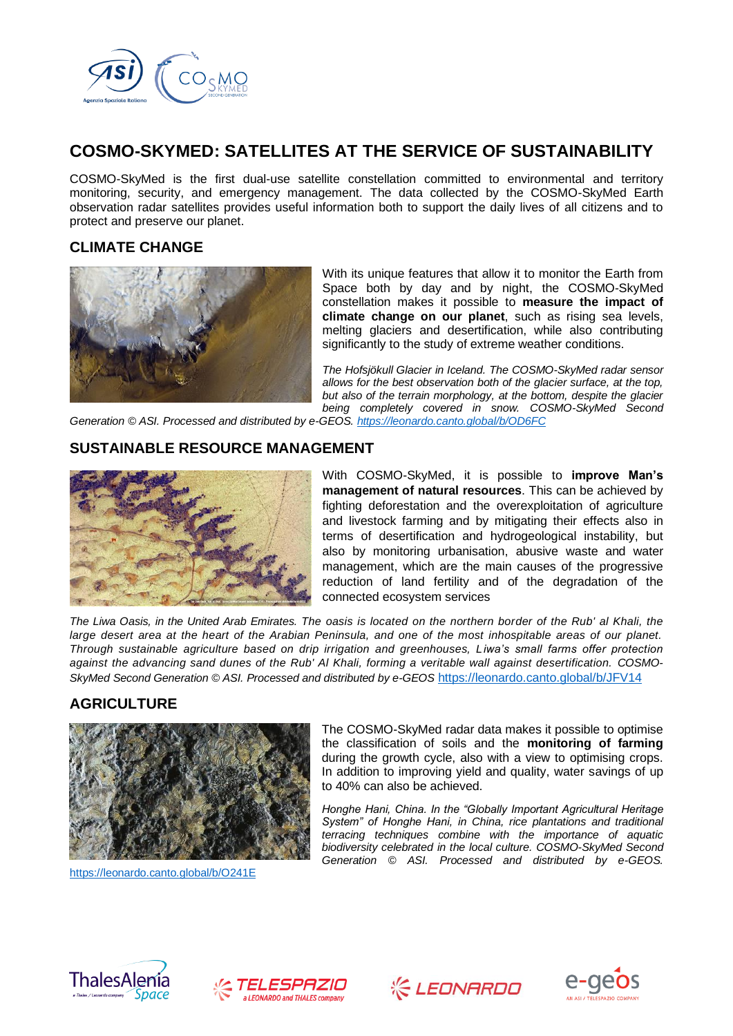

# **COSMO-SKYMED: SATELLITES AT THE SERVICE OF SUSTAINABILITY**

COSMO-SkyMed is the first dual-use satellite constellation committed to environmental and territory monitoring, security, and emergency management. The data collected by the COSMO-SkyMed Earth observation radar satellites provides useful information both to support the daily lives of all citizens and to protect and preserve our planet.

## **CLIMATE CHANGE**



With its unique features that allow it to monitor the Earth from Space both by day and by night, the COSMO-SkyMed constellation makes it possible to **measure the impact of climate change on our planet**, such as rising sea levels, melting glaciers and desertification, while also contributing significantly to the study of extreme weather conditions.

*The Hofsjökull Glacier in Iceland. The COSMO-SkyMed radar sensor allows for the best observation both of the glacier surface, at the top, but also of the terrain morphology, at the bottom, despite the glacier being completely covered in snow. COSMO-SkyMed Second*

*Generation © ASI. Processed and distributed by e-GEOS.<https://leonardo.canto.global/b/OD6FC>*

#### **SUSTAINABLE RESOURCE MANAGEMENT**



With COSMO-SkyMed, it is possible to **improve Man's management of natural resources**. This can be achieved by fighting deforestation and the overexploitation of agriculture and livestock farming and by mitigating their effects also in terms of desertification and hydrogeological instability, but also by monitoring urbanisation, abusive waste and water management, which are the main causes of the progressive reduction of land fertility and of the degradation of the connected ecosystem services

*The Liwa Oasis, in the United Arab Emirates. The oasis is located on the northern border of the Rub' al Khali, the large desert area at the heart of the Arabian Peninsula, and one of the most inhospitable areas of our planet. Through sustainable agriculture based on drip irrigation and greenhouses, Liwa's small farms offer protection against the advancing sand dunes of the Rub' Al Khali, forming a veritable wall against desertification. COSMO-SkyMed Second Generation © ASI. Processed and distributed by e-GEOS* <https://leonardo.canto.global/b/JFV14>

## **AGRICULTURE**



<https://leonardo.canto.global/b/O241E>

The COSMO-SkyMed radar data makes it possible to optimise the classification of soils and the **monitoring of farming** during the growth cycle, also with a view to optimising crops. In addition to improving yield and quality, water savings of up to 40% can also be achieved.

*Honghe Hani, China. In the "Globally Important Agricultural Heritage System" of Honghe Hani, in China, rice plantations and traditional terracing techniques combine with the importance of aquatic biodiversity celebrated in the local culture. COSMO-SkyMed Second Generation © ASI. Processed and distributed by e-GEOS.* 







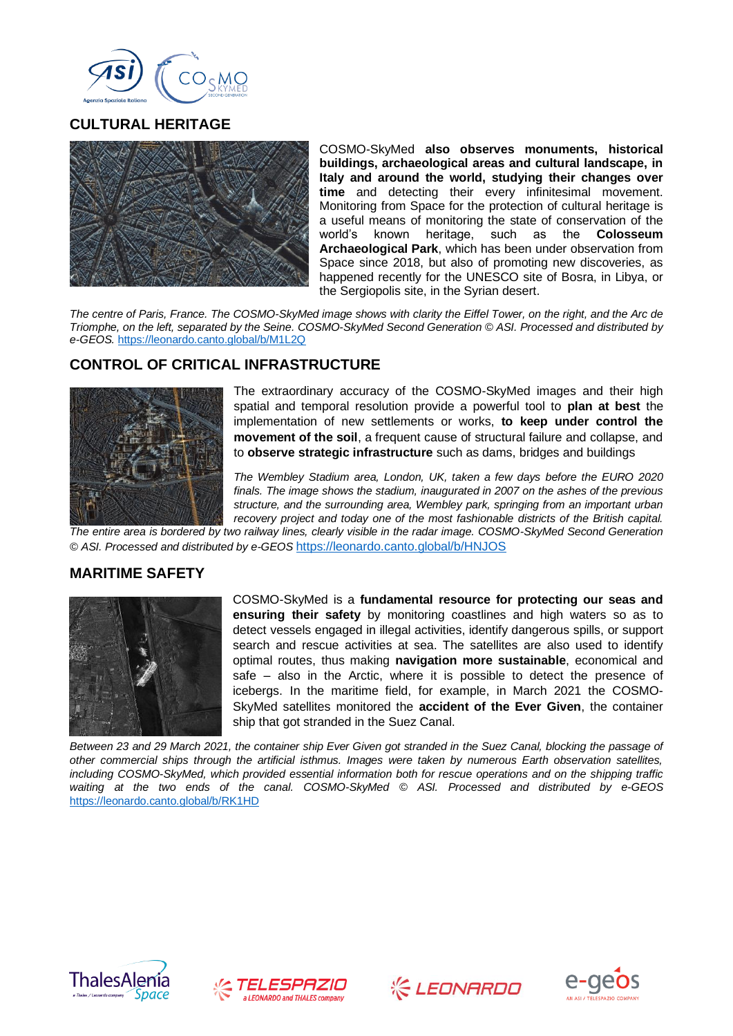

#### **CULTURAL HERITAGE**



COSMO-SkyMed **also observes monuments, historical buildings, archaeological areas and cultural landscape, in Italy and around the world, studying their changes over time** and detecting their every infinitesimal movement. Monitoring from Space for the protection of cultural heritage is a useful means of monitoring the state of conservation of the world's known heritage, such as the **Colosseum Archaeological Park**, which has been under observation from Space since 2018, but also of promoting new discoveries, as happened recently for the UNESCO site of Bosra, in Libya, or the Sergiopolis site, in the Syrian desert.

*The centre of Paris, France. The COSMO-SkyMed image shows with clarity the Eiffel Tower, on the right, and the Arc de Triomphe, on the left, separated by the Seine. COSMO-SkyMed Second Generation © ASI. Processed and distributed by e-GEOS.* <https://leonardo.canto.global/b/M1L2Q>

## **CONTROL OF CRITICAL INFRASTRUCTURE**



The extraordinary accuracy of the COSMO-SkyMed images and their high spatial and temporal resolution provide a powerful tool to **plan at best** the implementation of new settlements or works, **to keep under control the movement of the soil**, a frequent cause of structural failure and collapse, and to **observe strategic infrastructure** such as dams, bridges and buildings

*The Wembley Stadium area, London, UK, taken a few days before the EURO 2020 finals. The image shows the stadium, inaugurated in 2007 on the ashes of the previous structure, and the surrounding area, Wembley park, springing from an important urban recovery project and today one of the most fashionable districts of the British capital.* 

*The entire area is bordered by two railway lines, clearly visible in the radar image. COSMO-SkyMed Second Generation © ASI. Processed and distributed by e-GEOS* <https://leonardo.canto.global/b/HNJOS>

#### **MARITIME SAFETY**



COSMO-SkyMed is a **fundamental resource for protecting our seas and ensuring their safety** by monitoring coastlines and high waters so as to detect vessels engaged in illegal activities, identify dangerous spills, or support search and rescue activities at sea. The satellites are also used to identify optimal routes, thus making **navigation more sustainable**, economical and safe – also in the Arctic, where it is possible to detect the presence of icebergs. In the maritime field, for example, in March 2021 the COSMO-SkyMed satellites monitored the **accident of the Ever Given**, the container ship that got stranded in the Suez Canal.

*Between 23 and 29 March 2021, the container ship Ever Given got stranded in the Suez Canal, blocking the passage of other commercial ships through the artificial isthmus. Images were taken by numerous Earth observation satellites,*  including COSMO-SkyMed, which provided essential information both for rescue operations and on the shipping traffic *waiting at the two ends of the canal. COSMO-SkyMed © ASI. Processed and distributed by e-GEOS*  <https://leonardo.canto.global/b/RK1HD>